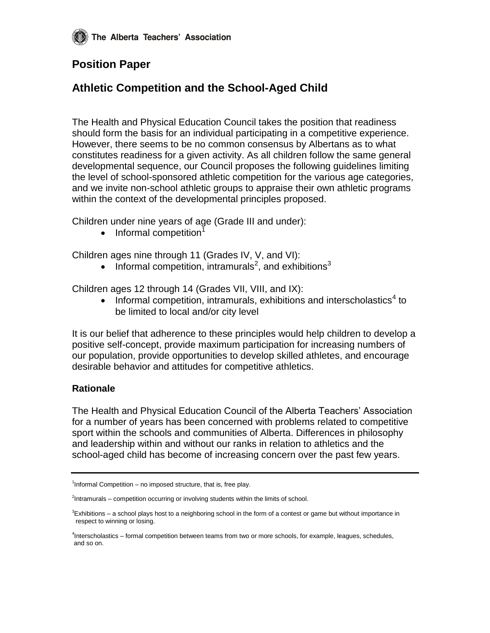## **Position Paper**

## **Athletic Competition and the School-Aged Child**

The Health and Physical Education Council takes the position that readiness should form the basis for an individual participating in a competitive experience. However, there seems to be no common consensus by Albertans as to what constitutes readiness for a given activity. As all children follow the same general developmental sequence, our Council proposes the following guidelines limiting the level of school-sponsored athletic competition for the various age categories, and we invite non-school athletic groups to appraise their own athletic programs within the context of the developmental principles proposed.

Children under nine years of age (Grade III and under):

 $\bullet$  Informal competition<sup>1</sup>

Children ages nine through 11 (Grades IV, V, and VI):

• Informal competition, intramurals<sup>2</sup>, and exhibitions<sup>3</sup>

Children ages 12 through 14 (Grades VII, VIII, and IX):

• Informal competition, intramurals, exhibitions and interscholastics<sup>4</sup> to be limited to local and/or city level

It is our belief that adherence to these principles would help children to develop a positive self-concept, provide maximum participation for increasing numbers of our population, provide opportunities to develop skilled athletes, and encourage desirable behavior and attitudes for competitive athletics.

## **Rationale**

The Health and Physical Education Council of the Alberta Teachers' Association for a number of years has been concerned with problems related to competitive sport within the schools and communities of Alberta. Differences in philosophy and leadership within and without our ranks in relation to athletics and the school-aged child has become of increasing concern over the past few years.

<sup>&</sup>lt;sup>1</sup>Informal Competition – no imposed structure, that is, free play.

 $2$ Intramurals – competition occurring or involving students within the limits of school.

 ${}^{3}$ Exhibitions – a school plays host to a neighboring school in the form of a contest or game but without importance in respect to winning or losing.

<sup>4</sup> Interscholastics – formal competition between teams from two or more schools, for example, leagues, schedules, and so on.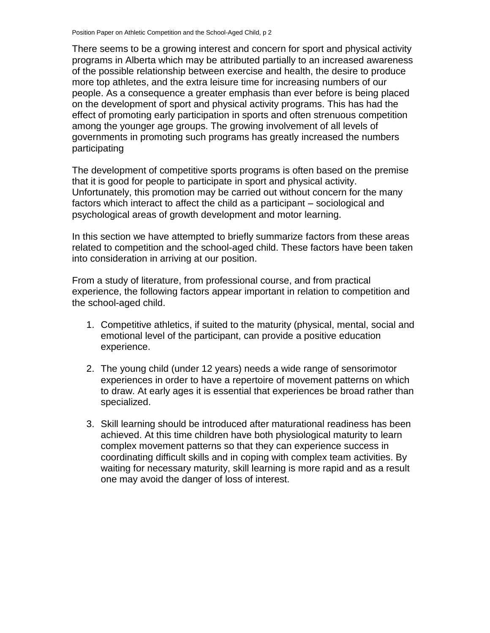There seems to be a growing interest and concern for sport and physical activity programs in Alberta which may be attributed partially to an increased awareness of the possible relationship between exercise and health, the desire to produce more top athletes, and the extra leisure time for increasing numbers of our people. As a consequence a greater emphasis than ever before is being placed on the development of sport and physical activity programs. This has had the effect of promoting early participation in sports and often strenuous competition among the younger age groups. The growing involvement of all levels of governments in promoting such programs has greatly increased the numbers participating

The development of competitive sports programs is often based on the premise that it is good for people to participate in sport and physical activity. Unfortunately, this promotion may be carried out without concern for the many factors which interact to affect the child as a participant – sociological and psychological areas of growth development and motor learning.

In this section we have attempted to briefly summarize factors from these areas related to competition and the school-aged child. These factors have been taken into consideration in arriving at our position.

From a study of literature, from professional course, and from practical experience, the following factors appear important in relation to competition and the school-aged child.

- 1. Competitive athletics, if suited to the maturity (physical, mental, social and emotional level of the participant, can provide a positive education experience.
- 2. The young child (under 12 years) needs a wide range of sensorimotor experiences in order to have a repertoire of movement patterns on which to draw. At early ages it is essential that experiences be broad rather than specialized.
- 3. Skill learning should be introduced after maturational readiness has been achieved. At this time children have both physiological maturity to learn complex movement patterns so that they can experience success in coordinating difficult skills and in coping with complex team activities. By waiting for necessary maturity, skill learning is more rapid and as a result one may avoid the danger of loss of interest.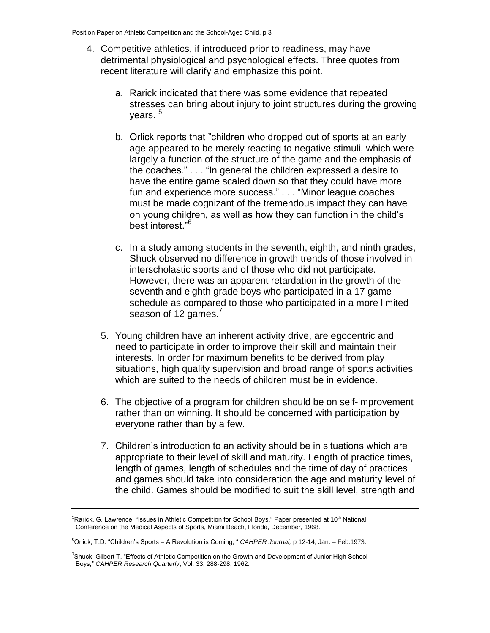- 4. Competitive athletics, if introduced prior to readiness, may have detrimental physiological and psychological effects. Three quotes from recent literature will clarify and emphasize this point.
	- a. Rarick indicated that there was some evidence that repeated stresses can bring about injury to joint structures during the growing years.<sup>5</sup>
	- b. Orlick reports that "children who dropped out of sports at an early age appeared to be merely reacting to negative stimuli, which were largely a function of the structure of the game and the emphasis of the coaches." . . . "In general the children expressed a desire to have the entire game scaled down so that they could have more fun and experience more success." . . . "Minor league coaches must be made cognizant of the tremendous impact they can have on young children, as well as how they can function in the child's best interest."<sup>6</sup>
	- c. In a study among students in the seventh, eighth, and ninth grades, Shuck observed no difference in growth trends of those involved in interscholastic sports and of those who did not participate. However, there was an apparent retardation in the growth of the seventh and eighth grade boys who participated in a 17 game schedule as compared to those who participated in a more limited season of 12 games.<sup>7</sup>
	- 5. Young children have an inherent activity drive, are egocentric and need to participate in order to improve their skill and maintain their interests. In order for maximum benefits to be derived from play situations, high quality supervision and broad range of sports activities which are suited to the needs of children must be in evidence.
	- 6. The objective of a program for children should be on self-improvement rather than on winning. It should be concerned with participation by everyone rather than by a few.
	- 7. Children's introduction to an activity should be in situations which are appropriate to their level of skill and maturity. Length of practice times, length of games, length of schedules and the time of day of practices and games should take into consideration the age and maturity level of the child. Games should be modified to suit the skill level, strength and

<sup>&</sup>lt;sup>5</sup>Rarick, G. Lawrence. "Issues in Athletic Competition for School Boys," Paper presented at 10<sup>th</sup> National Conference on the Medical Aspects of Sports, Miami Beach, Florida, December, 1968.

<sup>6</sup>Orlick, T.D. "Children's Sports – A Revolution is Coming, " *CAHPER Journal,* p 12-14, Jan. – Feb.1973.

<sup>7</sup>Shuck, Gilbert T. "Effects of Athletic Competition on the Growth and Development of Junior High School Boys," *CAHPER Research Quarterly*, Vol. 33, 288-298, 1962.